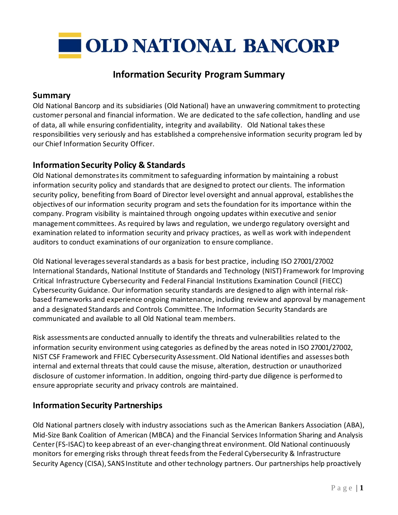

# **Information Security Program Summary**

### **Summary**

Old National Bancorp and its subsidiaries (Old National) have an unwavering commitment to protecting customer personal and financial information. We are dedicated to the safe collection, handling and use of data, all while ensuring confidentiality, integrity and availability. Old National takes these responsibilities very seriously and has established a comprehensive information security program led by our Chief Information Security Officer.

### **Information Security Policy & Standards**

Old National demonstrates its commitment to safeguarding information by maintaining a robust information security policy and standards that are designed to protect our clients. The information security policy, benefiting from Board of Director level oversight and annual approval, establishes the objectives of our information security program and sets the foundation for its importance within the company. Program visibility is maintained through ongoing updates within executive and senior management committees. As required by laws and regulation, we undergo regulatory oversight and examination related to information security and privacy practices, as well as work with independent auditors to conduct examinations of our organization to ensure compliance.

Old National leverages several standards as a basis for best practice, including ISO 27001/27002 International Standards, National Institute of Standards and Technology (NIST) Framework for Improving Critical Infrastructure Cybersecurity and Federal Financial Institutions Examination Council (FIECC) Cybersecurity Guidance. Our information security standards are designed to align with internal riskbased frameworks and experience ongoing maintenance, including review and approval by management and a designated Standards and Controls Committee. The Information Security Standards are communicated and available to all Old National team members.

Risk assessments are conducted annually to identify the threats and vulnerabilities related to the information security environment using categories as defined by the areas noted in ISO 27001/27002, NIST CSF Framework and FFIEC Cybersecurity Assessment. Old National identifies and assesses both internal and external threats that could cause the misuse, alteration, destruction or unauthorized disclosure of customer information. In addition, ongoing third-party due diligence is performed to ensure appropriate security and privacy controls are maintained.

### **Information Security Partnerships**

Old National partners closely with industry associations such as the American Bankers Association (ABA), Mid-Size Bank Coalition of American (MBCA) and the Financial Services Information Sharing and Analysis Center (FS-ISAC) to keep abreast of an ever-changing threat environment. Old National continuously monitors for emerging risks through threat feeds from the Federal Cybersecurity & Infrastructure Security Agency (CISA), SANS Institute and other technology partners. Our partnerships help proactively